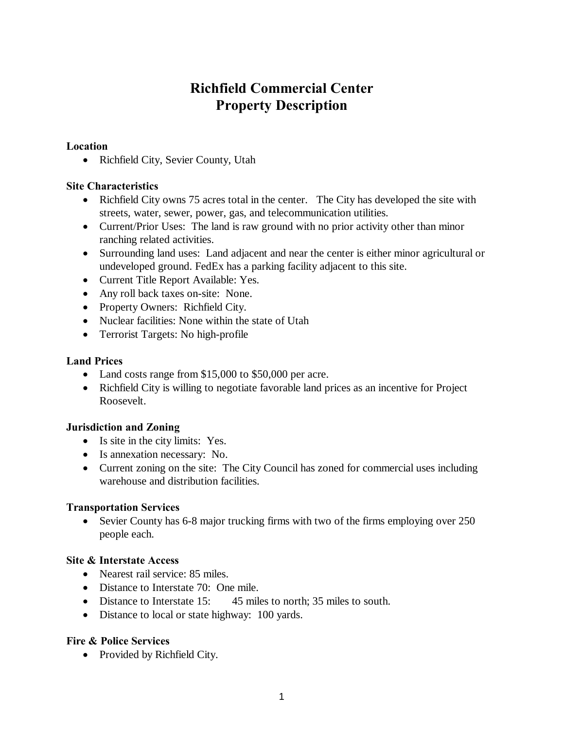# **Richfield Commercial Center Property Description**

#### **Location**

· Richfield City, Sevier County, Utah

#### **Site Characteristics**

- Richfield City owns 75 acres total in the center. The City has developed the site with streets, water, sewer, power, gas, and telecommunication utilities.
- Current/Prior Uses: The land is raw ground with no prior activity other than minor ranching related activities.
- · Surrounding land uses: Land adjacent and near the center is either minor agricultural or undeveloped ground. FedEx has a parking facility adjacent to this site.
- · Current Title Report Available: Yes.
- Any roll back taxes on-site: None.
- Property Owners: Richfield City.
- · Nuclear facilities: None within the state of Utah
- Terrorist Targets: No high-profile

#### **Land Prices**

- Land costs range from \$15,000 to \$50,000 per acre.
- Richfield City is willing to negotiate favorable land prices as an incentive for Project Roosevelt.

#### **Jurisdiction and Zoning**

- Is site in the city limits: Yes.
- Is annexation necessary: No.
- Current zoning on the site: The City Council has zoned for commercial uses including warehouse and distribution facilities.

#### **Transportation Services**

• Sevier County has 6-8 major trucking firms with two of the firms employing over 250 people each.

#### **Site & Interstate Access**

- Nearest rail service: 85 miles.
- Distance to Interstate 70: One mile.
- Distance to Interstate 15: 45 miles to north; 35 miles to south.
- Distance to local or state highway: 100 yards.

#### **Fire & Police Services**

• Provided by Richfield City.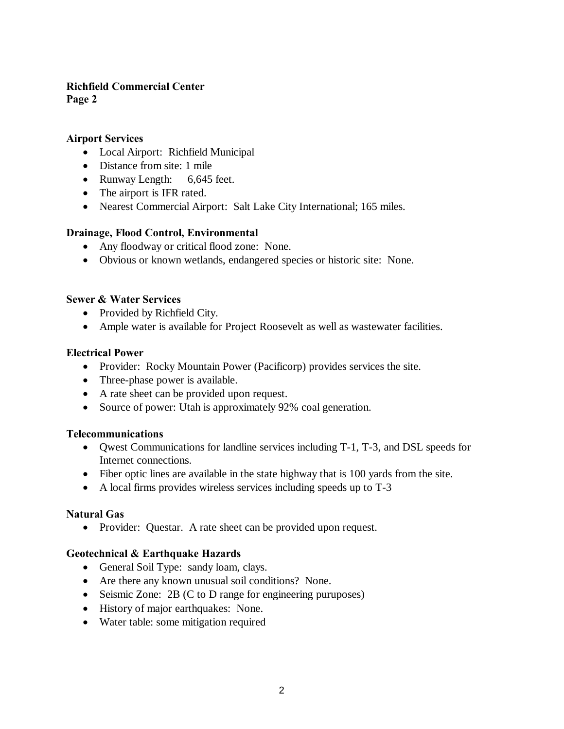# **Richfield Commercial Center**

**Page 2**

#### **Airport Services**

- · Local Airport: Richfield Municipal
- Distance from site: 1 mile
- Runway Length: 6,645 feet.
- The airport is IFR rated.
- · Nearest Commercial Airport: Salt Lake City International; 165 miles.

#### **Drainage, Flood Control, Environmental**

- Any floodway or critical flood zone: None.
- · Obvious or known wetlands, endangered species or historic site: None.

#### **Sewer & Water Services**

- Provided by Richfield City.
- · Ample water is available for Project Roosevelt as well as wastewater facilities.

#### **Electrical Power**

- · Provider: Rocky Mountain Power (Pacificorp) provides services the site.
- Three-phase power is available.
- · A rate sheet can be provided upon request.
- Source of power: Utah is approximately 92% coal generation.

#### **Telecommunications**

- · Qwest Communications for landline services including T-1, T-3, and DSL speeds for Internet connections.
- Fiber optic lines are available in the state highway that is 100 yards from the site.
- A local firms provides wireless services including speeds up to T-3

# **Natural Gas**

• Provider: Questar. A rate sheet can be provided upon request.

# **Geotechnical & Earthquake Hazards**

- General Soil Type: sandy loam, clays.
- Are there any known unusual soil conditions? None.
- Seismic Zone: 2B (C to D range for engineering puruposes)
- · History of major earthquakes: None.
- · Water table: some mitigation required